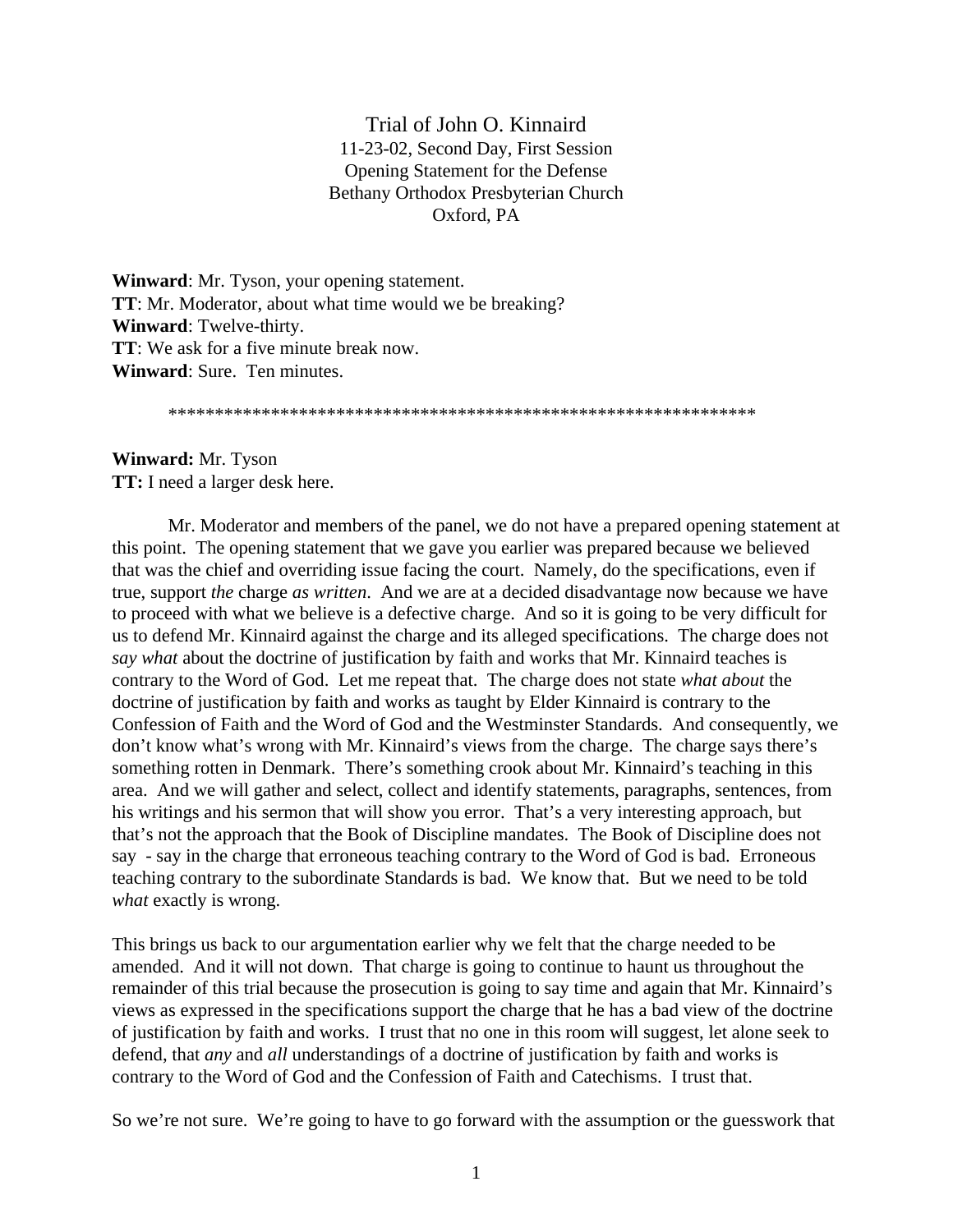Trial of John O. Kinnaird 11-23-02, Second Day, First Session Opening Statement for the Defense Bethany Orthodox Presbyterian Church Oxford, PA

**Winward**: Mr. Tyson, your opening statement. **TT**: Mr. Moderator, about what time would we be breaking? **Winward**: Twelve-thirty. **TT**: We ask for a five minute break now. **Winward**: Sure. Ten minutes.

\*\*\*\*\*\*\*\*\*\*\*\*\*\*\*\*\*\*\*\*\*\*\*\*\*\*\*\*\*\*\*\*\*\*\*\*\*\*\*\*\*\*\*\*\*\*\*\*\*\*\*\*\*\*\*\*\*\*\*\*\*\*\*

**Winward:** Mr. Tyson **TT:** I need a larger desk here.

Mr. Moderator and members of the panel, we do not have a prepared opening statement at this point. The opening statement that we gave you earlier was prepared because we believed that was the chief and overriding issue facing the court. Namely, do the specifications, even if true, support *the* charge *as written*. And we are at a decided disadvantage now because we have to proceed with what we believe is a defective charge. And so it is going to be very difficult for us to defend Mr. Kinnaird against the charge and its alleged specifications. The charge does not *say what* about the doctrine of justification by faith and works that Mr. Kinnaird teaches is contrary to the Word of God. Let me repeat that. The charge does not state *what about* the doctrine of justification by faith and works as taught by Elder Kinnaird is contrary to the Confession of Faith and the Word of God and the Westminster Standards. And consequently, we don't know what's wrong with Mr. Kinnaird's views from the charge. The charge says there's something rotten in Denmark. There's something crook about Mr. Kinnaird's teaching in this area. And we will gather and select, collect and identify statements, paragraphs, sentences, from his writings and his sermon that will show you error. That's a very interesting approach, but that's not the approach that the Book of Discipline mandates. The Book of Discipline does not say - say in the charge that erroneous teaching contrary to the Word of God is bad. Erroneous teaching contrary to the subordinate Standards is bad. We know that. But we need to be told *what* exactly is wrong.

This brings us back to our argumentation earlier why we felt that the charge needed to be amended. And it will not down. That charge is going to continue to haunt us throughout the remainder of this trial because the prosecution is going to say time and again that Mr. Kinnaird's views as expressed in the specifications support the charge that he has a bad view of the doctrine of justification by faith and works. I trust that no one in this room will suggest, let alone seek to defend, that *any* and *all* understandings of a doctrine of justification by faith and works is contrary to the Word of God and the Confession of Faith and Catechisms. I trust that.

So we're not sure. We're going to have to go forward with the assumption or the guesswork that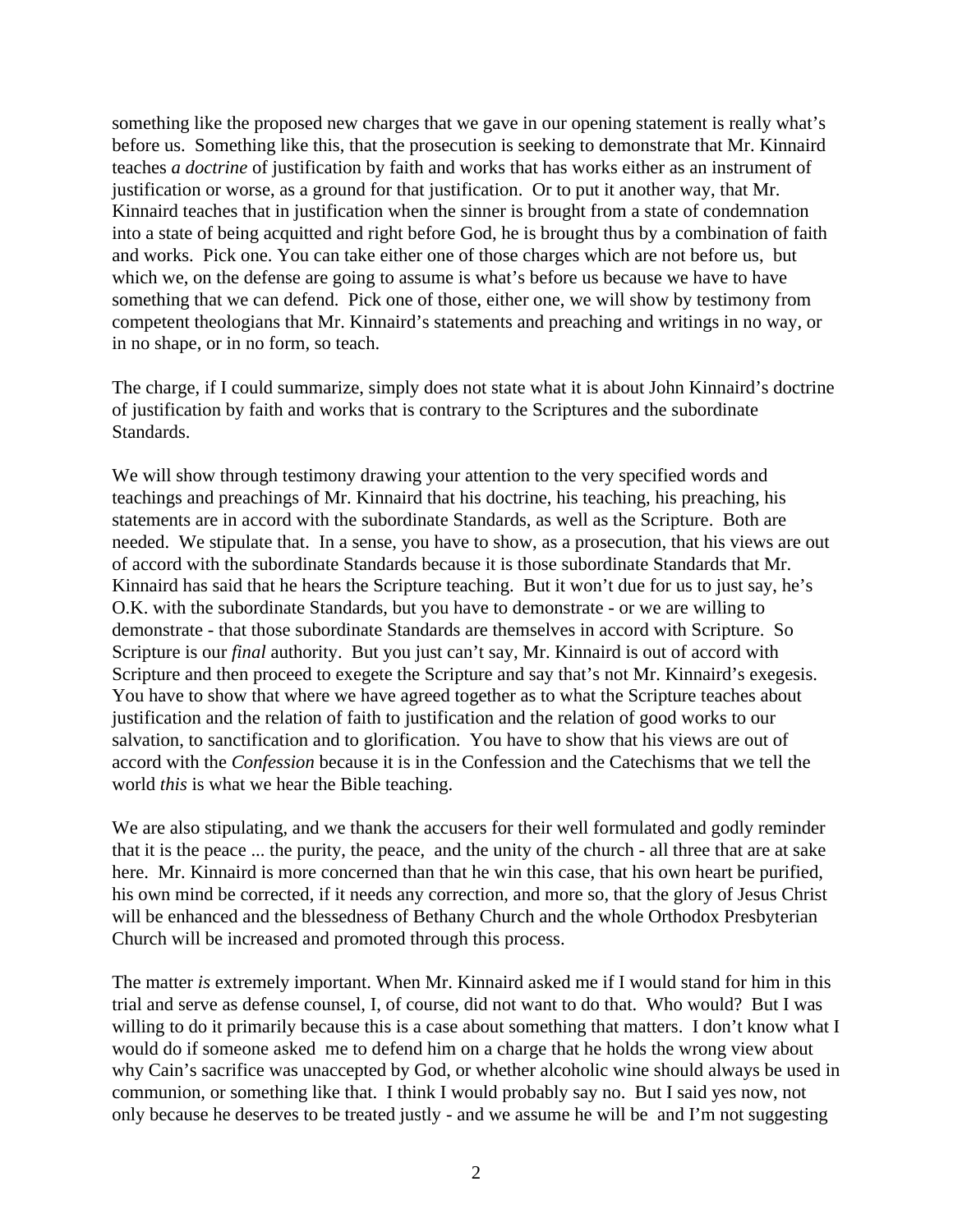something like the proposed new charges that we gave in our opening statement is really what's before us. Something like this, that the prosecution is seeking to demonstrate that Mr. Kinnaird teaches *a doctrine* of justification by faith and works that has works either as an instrument of justification or worse, as a ground for that justification. Or to put it another way, that Mr. Kinnaird teaches that in justification when the sinner is brought from a state of condemnation into a state of being acquitted and right before God, he is brought thus by a combination of faith and works. Pick one. You can take either one of those charges which are not before us, but which we, on the defense are going to assume is what's before us because we have to have something that we can defend. Pick one of those, either one, we will show by testimony from competent theologians that Mr. Kinnaird's statements and preaching and writings in no way, or in no shape, or in no form, so teach.

The charge, if I could summarize, simply does not state what it is about John Kinnaird's doctrine of justification by faith and works that is contrary to the Scriptures and the subordinate Standards.

We will show through testimony drawing your attention to the very specified words and teachings and preachings of Mr. Kinnaird that his doctrine, his teaching, his preaching, his statements are in accord with the subordinate Standards, as well as the Scripture. Both are needed. We stipulate that. In a sense, you have to show, as a prosecution, that his views are out of accord with the subordinate Standards because it is those subordinate Standards that Mr. Kinnaird has said that he hears the Scripture teaching. But it won't due for us to just say, he's O.K. with the subordinate Standards, but you have to demonstrate - or we are willing to demonstrate - that those subordinate Standards are themselves in accord with Scripture. So Scripture is our *final* authority. But you just can't say, Mr. Kinnaird is out of accord with Scripture and then proceed to exegete the Scripture and say that's not Mr. Kinnaird's exegesis. You have to show that where we have agreed together as to what the Scripture teaches about justification and the relation of faith to justification and the relation of good works to our salvation, to sanctification and to glorification. You have to show that his views are out of accord with the *Confession* because it is in the Confession and the Catechisms that we tell the world *this* is what we hear the Bible teaching.

We are also stipulating, and we thank the accusers for their well formulated and godly reminder that it is the peace ... the purity, the peace, and the unity of the church - all three that are at sake here. Mr. Kinnaird is more concerned than that he win this case, that his own heart be purified, his own mind be corrected, if it needs any correction, and more so, that the glory of Jesus Christ will be enhanced and the blessedness of Bethany Church and the whole Orthodox Presbyterian Church will be increased and promoted through this process.

The matter *is* extremely important. When Mr. Kinnaird asked me if I would stand for him in this trial and serve as defense counsel, I, of course, did not want to do that. Who would? But I was willing to do it primarily because this is a case about something that matters. I don't know what I would do if someone asked me to defend him on a charge that he holds the wrong view about why Cain's sacrifice was unaccepted by God, or whether alcoholic wine should always be used in communion, or something like that. I think I would probably say no. But I said yes now, not only because he deserves to be treated justly - and we assume he will be and I'm not suggesting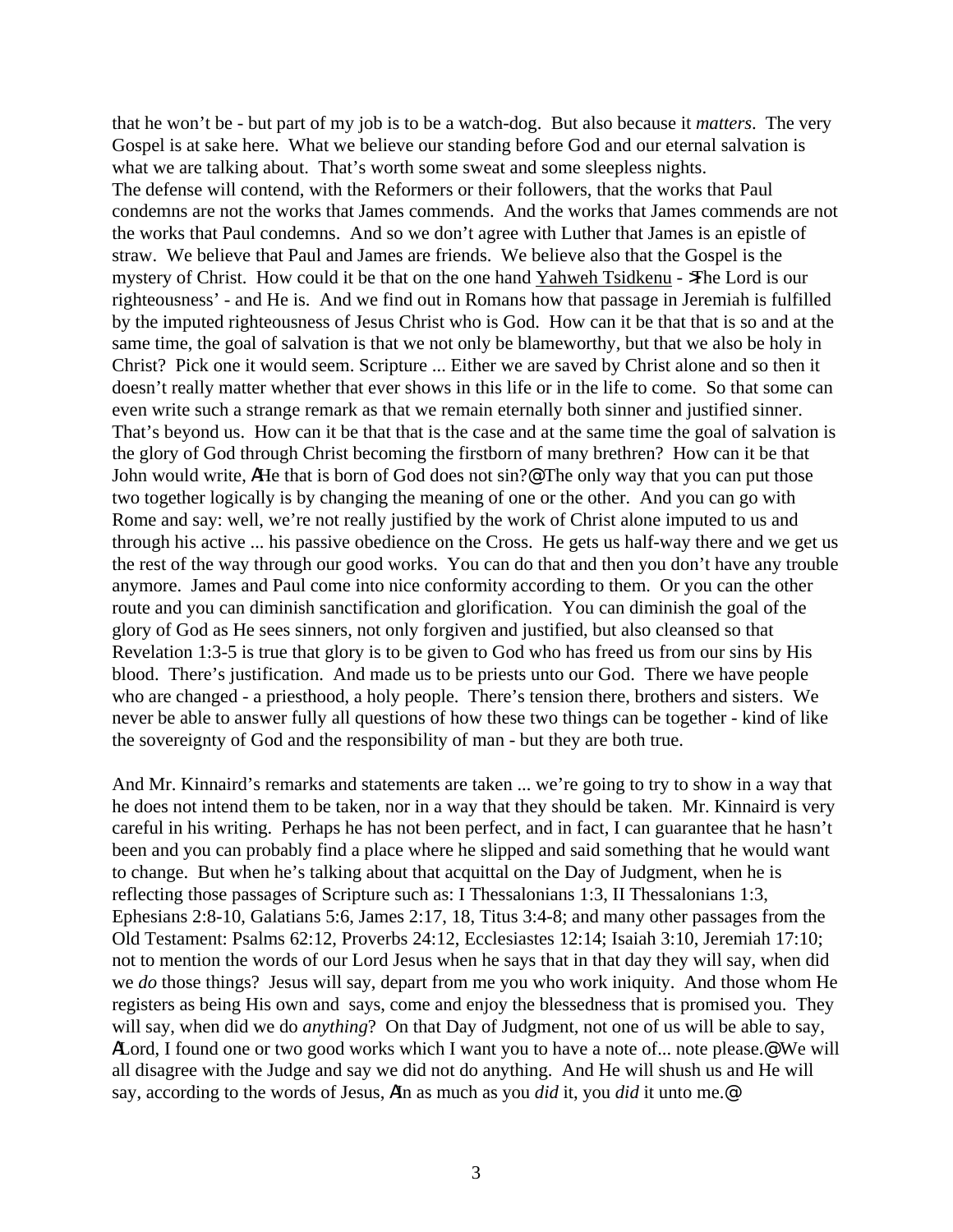that he won't be - but part of my job is to be a watch-dog. But also because it *matters*. The very Gospel is at sake here. What we believe our standing before God and our eternal salvation is what we are talking about. That's worth some sweat and some sleepless nights. The defense will contend, with the Reformers or their followers, that the works that Paul condemns are not the works that James commends. And the works that James commends are not the works that Paul condemns. And so we don't agree with Luther that James is an epistle of straw. We believe that Paul and James are friends. We believe also that the Gospel is the mystery of Christ. How could it be that on the one hand Yahweh Tsidkenu - >The Lord is our righteousness' - and He is. And we find out in Romans how that passage in Jeremiah is fulfilled by the imputed righteousness of Jesus Christ who is God. How can it be that that is so and at the same time, the goal of salvation is that we not only be blameworthy, but that we also be holy in Christ? Pick one it would seem. Scripture ... Either we are saved by Christ alone and so then it doesn't really matter whether that ever shows in this life or in the life to come. So that some can even write such a strange remark as that we remain eternally both sinner and justified sinner. That's beyond us. How can it be that that is the case and at the same time the goal of salvation is the glory of God through Christ becoming the firstborn of many brethren? How can it be that John would write, AHe that is born of God does not sin?@ The only way that you can put those two together logically is by changing the meaning of one or the other. And you can go with Rome and say: well, we're not really justified by the work of Christ alone imputed to us and through his active ... his passive obedience on the Cross. He gets us half-way there and we get us the rest of the way through our good works. You can do that and then you don't have any trouble anymore. James and Paul come into nice conformity according to them. Or you can the other route and you can diminish sanctification and glorification. You can diminish the goal of the glory of God as He sees sinners, not only forgiven and justified, but also cleansed so that Revelation 1:3-5 is true that glory is to be given to God who has freed us from our sins by His blood. There's justification. And made us to be priests unto our God. There we have people who are changed - a priesthood, a holy people. There's tension there, brothers and sisters. We never be able to answer fully all questions of how these two things can be together - kind of like the sovereignty of God and the responsibility of man - but they are both true.

And Mr. Kinnaird's remarks and statements are taken ... we're going to try to show in a way that he does not intend them to be taken, nor in a way that they should be taken. Mr. Kinnaird is very careful in his writing. Perhaps he has not been perfect, and in fact, I can guarantee that he hasn't been and you can probably find a place where he slipped and said something that he would want to change. But when he's talking about that acquittal on the Day of Judgment, when he is reflecting those passages of Scripture such as: I Thessalonians 1:3, II Thessalonians 1:3, Ephesians 2:8-10, Galatians 5:6, James 2:17, 18, Titus 3:4-8; and many other passages from the Old Testament: Psalms 62:12, Proverbs 24:12, Ecclesiastes 12:14; Isaiah 3:10, Jeremiah 17:10; not to mention the words of our Lord Jesus when he says that in that day they will say, when did we *do* those things? Jesus will say, depart from me you who work iniquity. And those whom He registers as being His own and says, come and enjoy the blessedness that is promised you. They will say, when did we do *anything*? On that Day of Judgment, not one of us will be able to say, ALord, I found one or two good works which I want you to have a note of... note please.<sup>@</sup> We will all disagree with the Judge and say we did not do anything. And He will shush us and He will say, according to the words of Jesus, AIn as much as you *did* it, you *did* it unto me.@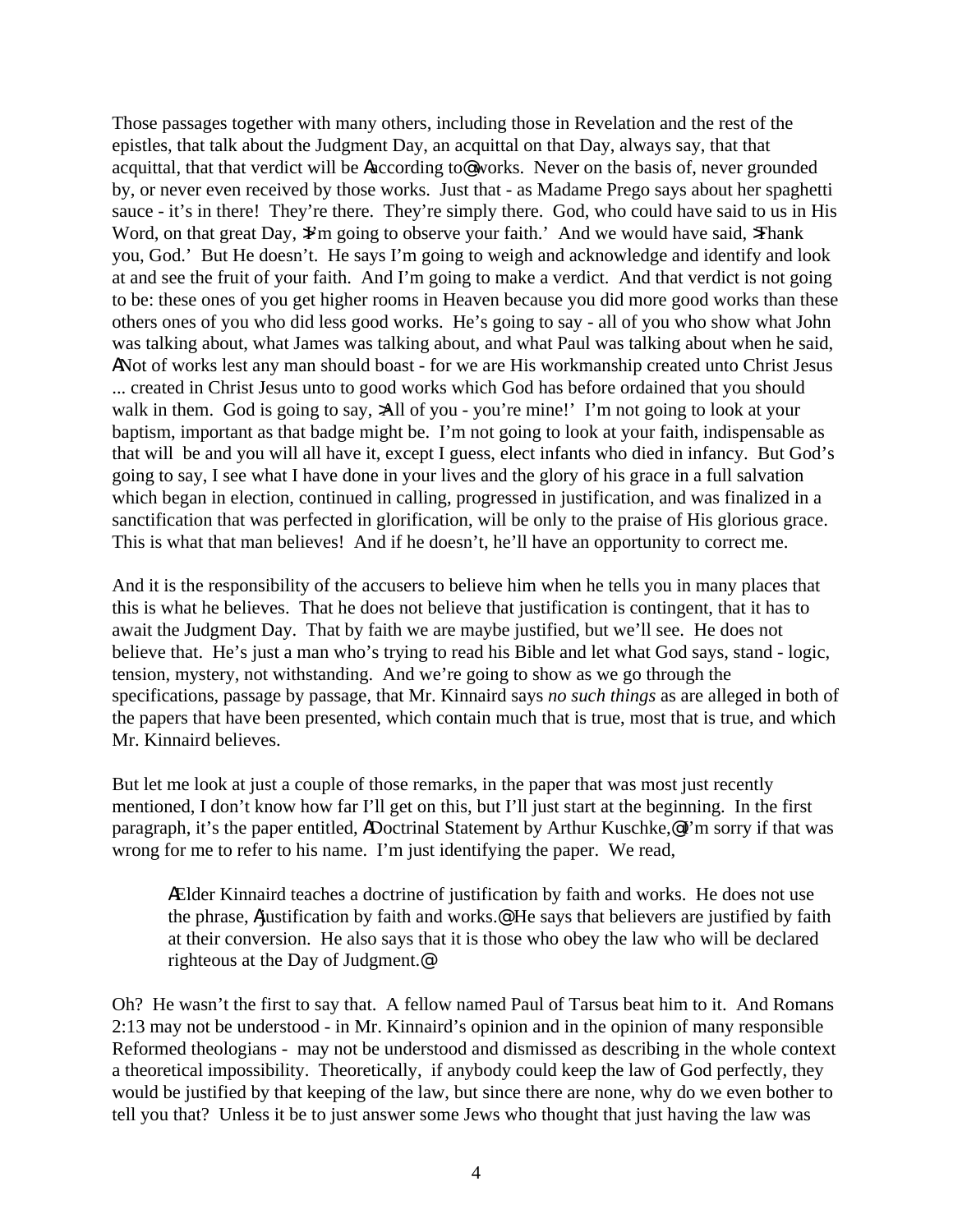Those passages together with many others, including those in Revelation and the rest of the epistles, that talk about the Judgment Day, an acquittal on that Day, always say, that that acquittal, that that verdict will be Aaccording to@ works. Never on the basis of, never grounded by, or never even received by those works. Just that - as Madame Prego says about her spaghetti sauce - it's in there! They're there. They're simply there. God, who could have said to us in His Word, on that great Day, Y'm going to observe your faith.' And we would have said,  $\frac{1}{2}$ Thank you, God.' But He doesn't. He says I'm going to weigh and acknowledge and identify and look at and see the fruit of your faith. And I'm going to make a verdict. And that verdict is not going to be: these ones of you get higher rooms in Heaven because you did more good works than these others ones of you who did less good works. He's going to say - all of you who show what John was talking about, what James was talking about, and what Paul was talking about when he said, ANot of works lest any man should boast - for we are His workmanship created unto Christ Jesus ... created in Christ Jesus unto to good works which God has before ordained that you should walk in them. God is going to say, >All of you - you're mine!' I'm not going to look at your baptism, important as that badge might be. I'm not going to look at your faith, indispensable as that will be and you will all have it, except I guess, elect infants who died in infancy. But God's going to say, I see what I have done in your lives and the glory of his grace in a full salvation which began in election, continued in calling, progressed in justification, and was finalized in a sanctification that was perfected in glorification, will be only to the praise of His glorious grace. This is what that man believes! And if he doesn't, he'll have an opportunity to correct me.

And it is the responsibility of the accusers to believe him when he tells you in many places that this is what he believes. That he does not believe that justification is contingent, that it has to await the Judgment Day. That by faith we are maybe justified, but we'll see. He does not believe that. He's just a man who's trying to read his Bible and let what God says, stand - logic, tension, mystery, not withstanding. And we're going to show as we go through the specifications, passage by passage, that Mr. Kinnaird says *no such things* as are alleged in both of the papers that have been presented, which contain much that is true, most that is true, and which Mr. Kinnaird believes.

But let me look at just a couple of those remarks, in the paper that was most just recently mentioned, I don't know how far I'll get on this, but I'll just start at the beginning. In the first paragraph, it's the paper entitled, ADoctrinal Statement by Arthur Kuschke,@I'm sorry if that was wrong for me to refer to his name. I'm just identifying the paper. We read,

AElder Kinnaird teaches a doctrine of justification by faith and works. He does not use the phrase, Ajustification by faith and works.<sup>@</sup> He says that believers are justified by faith at their conversion. He also says that it is those who obey the law who will be declared righteous at the Day of Judgment.@

Oh? He wasn't the first to say that. A fellow named Paul of Tarsus beat him to it. And Romans 2:13 may not be understood - in Mr. Kinnaird's opinion and in the opinion of many responsible Reformed theologians - may not be understood and dismissed as describing in the whole context a theoretical impossibility. Theoretically, if anybody could keep the law of God perfectly, they would be justified by that keeping of the law, but since there are none, why do we even bother to tell you that? Unless it be to just answer some Jews who thought that just having the law was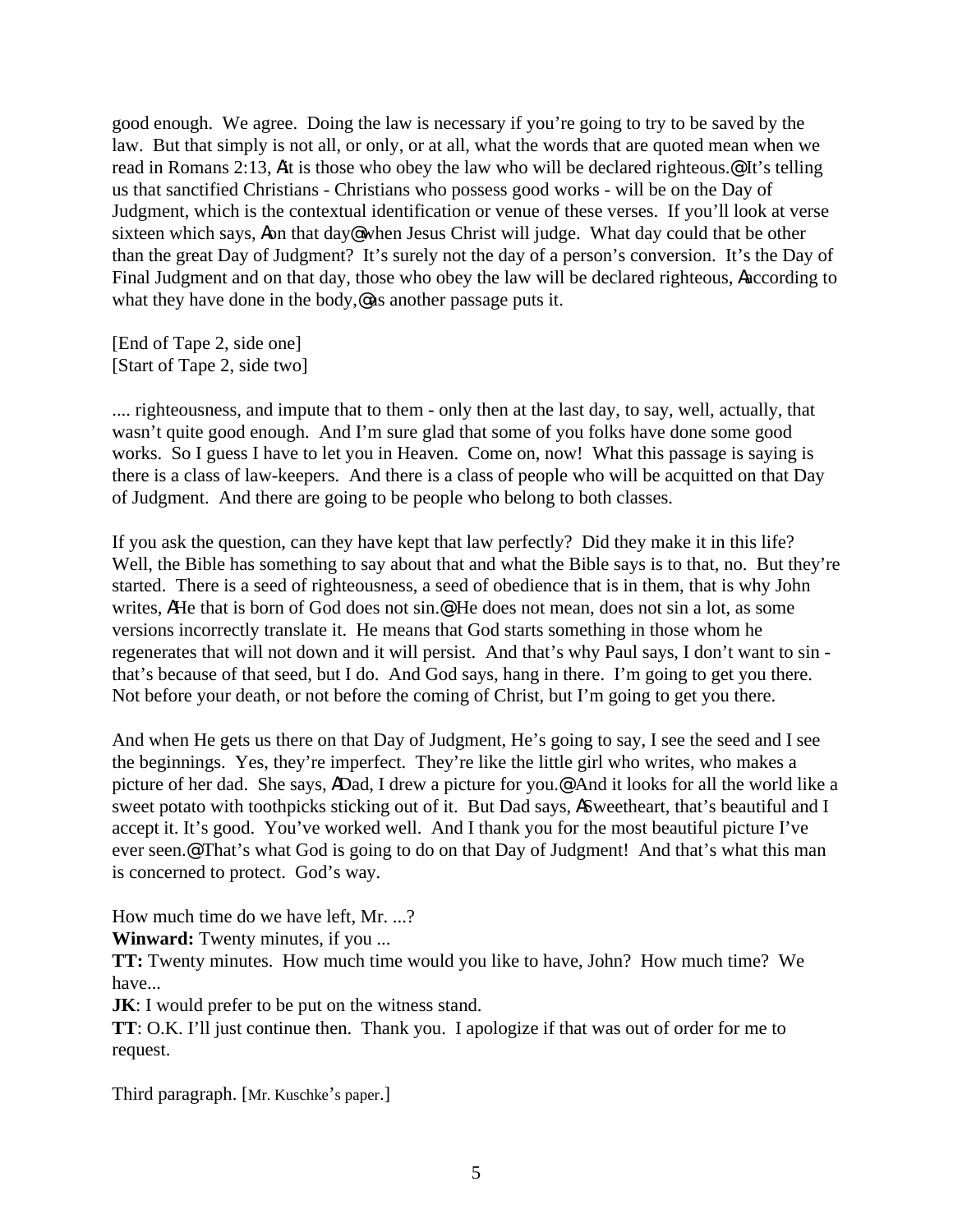good enough. We agree. Doing the law is necessary if you're going to try to be saved by the law. But that simply is not all, or only, or at all, what the words that are quoted mean when we read in Romans 2:13, Ait is those who obey the law who will be declared righteous.@ It's telling us that sanctified Christians - Christians who possess good works - will be on the Day of Judgment, which is the contextual identification or venue of these verses. If you'll look at verse sixteen which says, Aon that day@ when Jesus Christ will judge. What day could that be other than the great Day of Judgment? It's surely not the day of a person's conversion. It's the Day of Final Judgment and on that day, those who obey the law will be declared righteous, Aaccording to what they have done in the body,@ as another passage puts it.

[End of Tape 2, side one] [Start of Tape 2, side two]

.... righteousness, and impute that to them - only then at the last day, to say, well, actually, that wasn't quite good enough. And I'm sure glad that some of you folks have done some good works. So I guess I have to let you in Heaven. Come on, now! What this passage is saying is there is a class of law-keepers. And there is a class of people who will be acquitted on that Day of Judgment. And there are going to be people who belong to both classes.

If you ask the question, can they have kept that law perfectly? Did they make it in this life? Well, the Bible has something to say about that and what the Bible says is to that, no. But they're started. There is a seed of righteousness, a seed of obedience that is in them, that is why John writes, AHe that is born of God does not sin.@ He does not mean, does not sin a lot, as some versions incorrectly translate it. He means that God starts something in those whom he regenerates that will not down and it will persist. And that's why Paul says, I don't want to sin that's because of that seed, but I do. And God says, hang in there. I'm going to get you there. Not before your death, or not before the coming of Christ, but I'm going to get you there.

And when He gets us there on that Day of Judgment, He's going to say, I see the seed and I see the beginnings. Yes, they're imperfect. They're like the little girl who writes, who makes a picture of her dad. She says, ADad, I drew a picture for you.@ And it looks for all the world like a sweet potato with toothpicks sticking out of it. But Dad says, ASweetheart, that's beautiful and I accept it. It's good. You've worked well. And I thank you for the most beautiful picture I've ever seen.@ That's what God is going to do on that Day of Judgment! And that's what this man is concerned to protect. God's way.

How much time do we have left, Mr. ...?

**Winward:** Twenty minutes, if you ...

**TT:** Twenty minutes. How much time would you like to have, John? How much time? We have...

**JK**: I would prefer to be put on the witness stand.

**TT**: O.K. I'll just continue then. Thank you. I apologize if that was out of order for me to request.

Third paragraph. [Mr. Kuschke's paper.]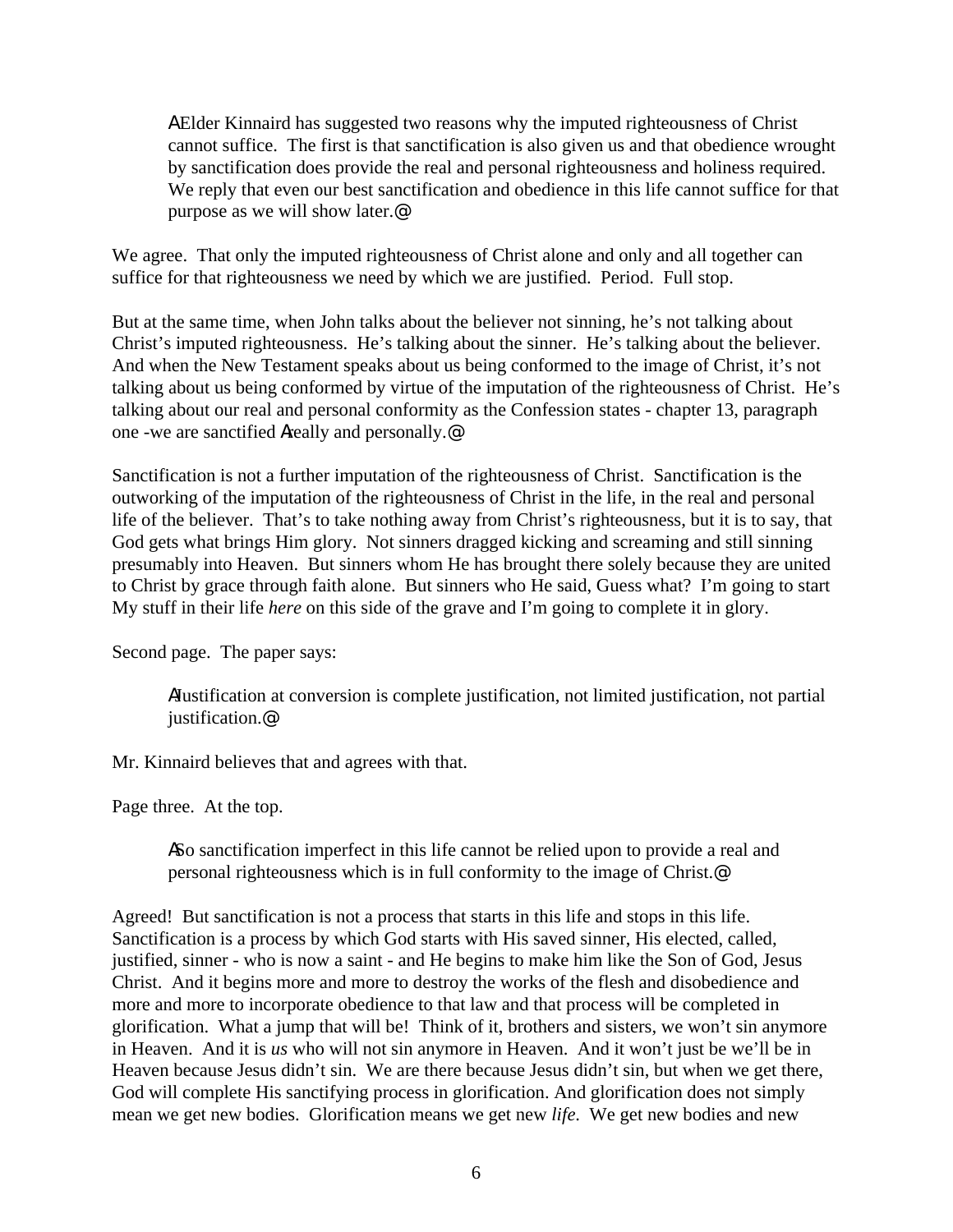A Elder Kinnaird has suggested two reasons why the imputed righteousness of Christ cannot suffice. The first is that sanctification is also given us and that obedience wrought by sanctification does provide the real and personal righteousness and holiness required. We reply that even our best sanctification and obedience in this life cannot suffice for that purpose as we will show later.@

We agree. That only the imputed righteousness of Christ alone and only and all together can suffice for that righteousness we need by which we are justified. Period. Full stop.

But at the same time, when John talks about the believer not sinning, he's not talking about Christ's imputed righteousness. He's talking about the sinner. He's talking about the believer. And when the New Testament speaks about us being conformed to the image of Christ, it's not talking about us being conformed by virtue of the imputation of the righteousness of Christ. He's talking about our real and personal conformity as the Confession states - chapter 13, paragraph one -we are sanctified Areally and personally.@

Sanctification is not a further imputation of the righteousness of Christ. Sanctification is the outworking of the imputation of the righteousness of Christ in the life, in the real and personal life of the believer. That's to take nothing away from Christ's righteousness, but it is to say, that God gets what brings Him glory. Not sinners dragged kicking and screaming and still sinning presumably into Heaven. But sinners whom He has brought there solely because they are united to Christ by grace through faith alone. But sinners who He said, Guess what? I'm going to start My stuff in their life *here* on this side of the grave and I'm going to complete it in glory.

Second page. The paper says:

AJustification at conversion is complete justification, not limited justification, not partial justification.@

Mr. Kinnaird believes that and agrees with that.

Page three. At the top.

ASo sanctification imperfect in this life cannot be relied upon to provide a real and personal righteousness which is in full conformity to the image of Christ.@

Agreed! But sanctification is not a process that starts in this life and stops in this life. Sanctification is a process by which God starts with His saved sinner, His elected, called, justified, sinner - who is now a saint - and He begins to make him like the Son of God, Jesus Christ. And it begins more and more to destroy the works of the flesh and disobedience and more and more to incorporate obedience to that law and that process will be completed in glorification. What a jump that will be! Think of it, brothers and sisters, we won't sin anymore in Heaven. And it is *us* who will not sin anymore in Heaven. And it won't just be we'll be in Heaven because Jesus didn't sin. We are there because Jesus didn't sin, but when we get there, God will complete His sanctifying process in glorification. And glorification does not simply mean we get new bodies. Glorification means we get new *life*. We get new bodies and new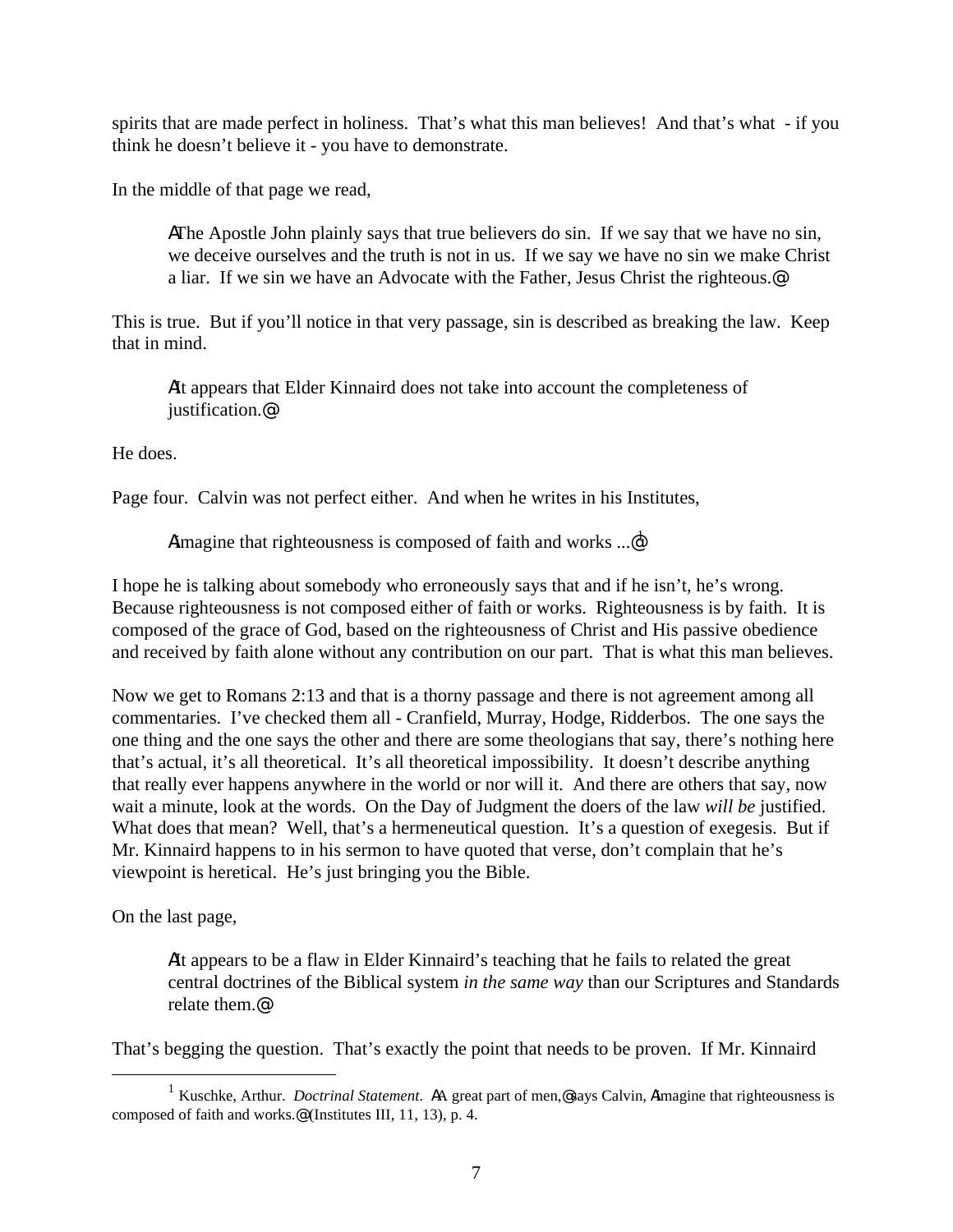spirits that are made perfect in holiness. That's what this man believes! And that's what - if you think he doesn't believe it - you have to demonstrate.

In the middle of that page we read,

AThe Apostle John plainly says that true believers do sin. If we say that we have no sin, we deceive ourselves and the truth is not in us. If we say we have no sin we make Christ a liar. If we sin we have an Advocate with the Father, Jesus Christ the righteous.@

This is true. But if you'll notice in that very passage, sin is described as breaking the law. Keep that in mind.

AIt appears that Elder Kinnaird does not take into account the completeness of justification.@

He does.

Page four. Calvin was not perfect either. And when he writes in his Institutes,

Aimagine that righteousness is composed of faith and works  $\mathbb{R}^d$ 

I hope he is talking about somebody who erroneously says that and if he isn't, he's wrong. Because righteousness is not composed either of faith or works. Righteousness is by faith. It is composed of the grace of God, based on the righteousness of Christ and His passive obedience and received by faith alone without any contribution on our part. That is what this man believes.

Now we get to Romans 2:13 and that is a thorny passage and there is not agreement among all commentaries. I've checked them all - Cranfield, Murray, Hodge, Ridderbos. The one says the one thing and the one says the other and there are some theologians that say, there's nothing here that's actual, it's all theoretical. It's all theoretical impossibility. It doesn't describe anything that really ever happens anywhere in the world or nor will it. And there are others that say, now wait a minute, look at the words. On the Day of Judgment the doers of the law *will be* justified. What does that mean? Well, that's a hermeneutical question. It's a question of exegesis. But if Mr. Kinnaird happens to in his sermon to have quoted that verse, don't complain that he's viewpoint is heretical. He's just bringing you the Bible.

On the last page,

1

AIt appears to be a flaw in Elder Kinnaird's teaching that he fails to related the great central doctrines of the Biblical system *in the same way* than our Scriptures and Standards relate them.@

That's begging the question. That's exactly the point that needs to be proven. If Mr. Kinnaird

<sup>&</sup>lt;sup>1</sup> Kuschke, Arthur. *Doctrinal Statement*. AA great part of men,@says Calvin, Aimagine that righteousness is composed of faith and works.@ (Institutes III, 11, 13), p. 4.